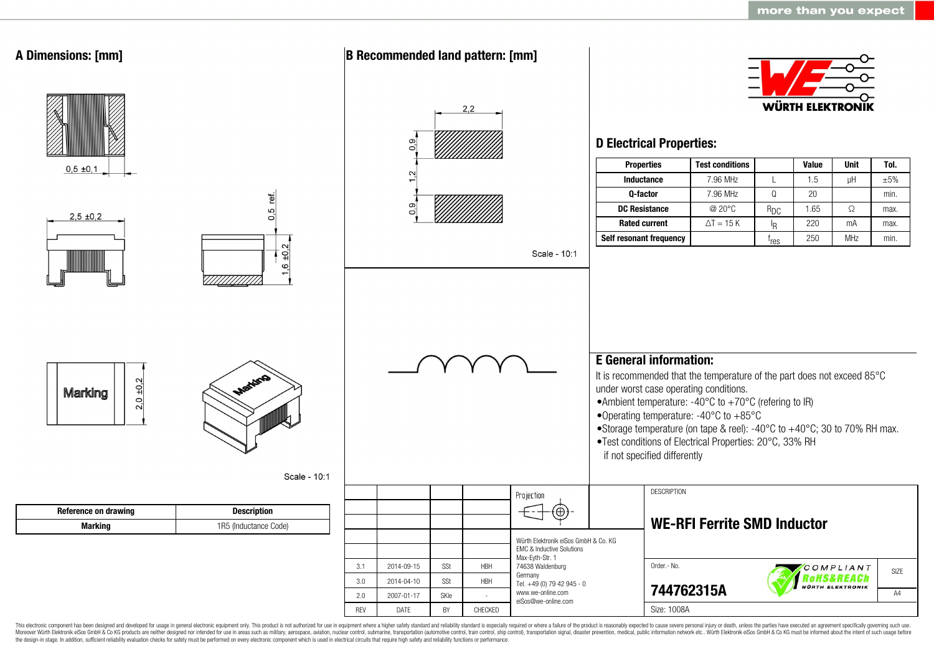

This electronic component has been designed and developed for usage in general electronic equipment only. This product is not authorized for use in equipment where a higher safety standard and reliability standard is espec Moreover Würth Elektronik eiSos GmbH & Co KG products are neither designed nor intended for use in areas such as military, aerospace, aviation, nuclear control, submarine, transportation (automotive control, ship control), the design-in stage. In addition, sufficient reliability evaluation checks for safety must be performed on every electronic component which is used in electrical circuits that require high safety and reliability functions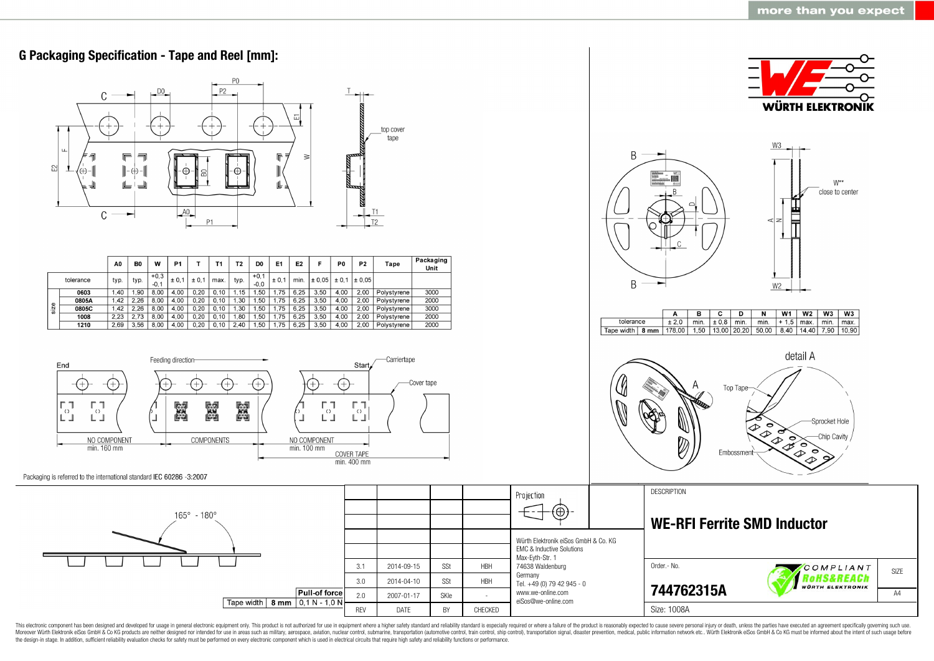

This electronic component has been designed and developed for usage in general electronic equipment only. This product is not authorized for use in equipment where a higher safety standard and reliability standard as espec Moreover Würth Elektronik eiSos GmbH & Co KG products are neither designed nor intended for use in areas such as military, aerospace, aviation, nuclear control, submarine, transportation (automotive control, ship control), the design-in stage. In addition, sufficient reliability evaluation checks for safety must be performed on every electronic component which is used in electrical circuits that require high safety and reliability functions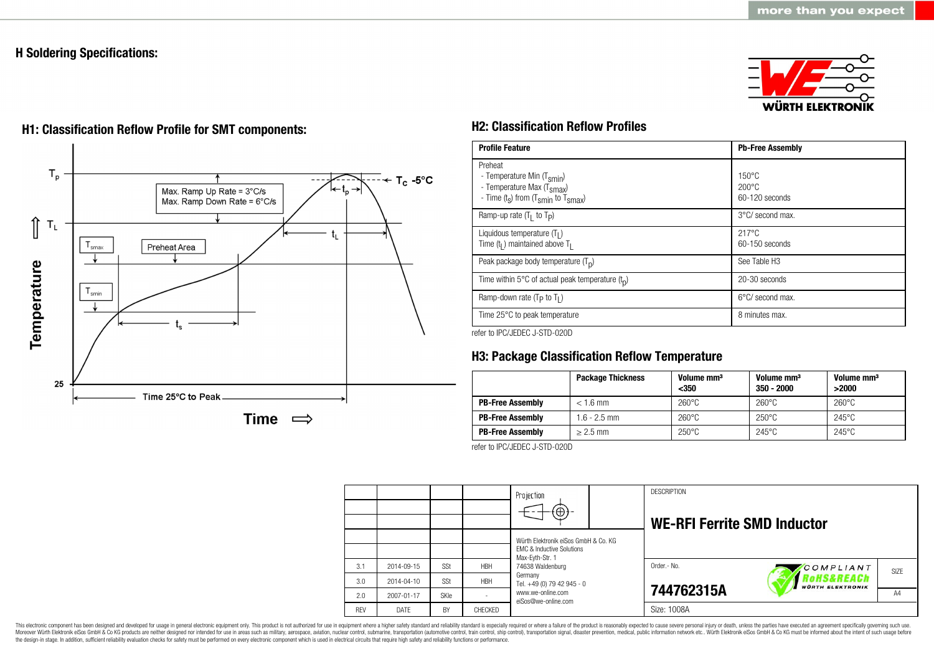# **H Soldering Specifications:**





# **H1: Classification Reflow Profile for SMT components: H2: Classification Reflow Profiles**

| <b>Profile Feature</b>                                                                                                                        | <b>Pb-Free Assembly</b>                             |
|-----------------------------------------------------------------------------------------------------------------------------------------------|-----------------------------------------------------|
| Preheat<br>- Temperature Min (T <sub>smin</sub> )<br>- Temperature Max (T <sub>Smax</sub> )<br>- Time $(t_s)$ from $(T_{smin}$ to $T_{smax})$ | $150^{\circ}$ C<br>$200\degree C$<br>60-120 seconds |
| Ramp-up rate $(T_1$ to $T_p$ )                                                                                                                | 3°C/ second max.                                    |
| Liquidous temperature $(T1)$<br>Time ( $tl$ ) maintained above T <sub>1</sub>                                                                 | $217^{\circ}$ C<br>60-150 seconds                   |
| Peak package body temperature $(Tp)$                                                                                                          | See Table H3                                        |
| Time within 5°C of actual peak temperature $(t_n)$                                                                                            | 20-30 seconds                                       |
| Ramp-down rate $(T_P$ to $T_I$ )                                                                                                              | $6^{\circ}$ C/ second max.                          |
| Time 25°C to peak temperature                                                                                                                 | 8 minutes max.                                      |

refer to IPC/JEDEC J-STD-020D

# **H3: Package Classification Reflow Temperature**

|                         | <b>Package Thickness</b> | Volume mm <sup>3</sup><br>$350$ | Volume mm <sup>3</sup><br>$350 - 2000$ | Volume mm <sup>3</sup><br>>2000 |
|-------------------------|--------------------------|---------------------------------|----------------------------------------|---------------------------------|
| <b>PB-Free Assembly</b> | $< 1.6$ mm               | $260^{\circ}$ C                 | $260^{\circ}$ C                        | $260^{\circ}$ C                 |
| <b>PB-Free Assembly</b> | $1.6 - 2.5$ mm           | $260^{\circ}$ C                 | $250^{\circ}$ C                        | $245^{\circ}$ C                 |
| <b>PB-Free Assembly</b> | $> 2.5$ mm               | $250^{\circ}$ C                 | $245^{\circ}$ C                        | $245^{\circ}$ C                 |

refer to IPC/JEDEC J-STD-020D

|            |            |      |            | Projection<br>$\Theta$ )                                                                                            |  | <b>DESCRIPTION</b><br><b>WE-RFI Ferrite SMD Inductor</b> |                                       |      |
|------------|------------|------|------------|---------------------------------------------------------------------------------------------------------------------|--|----------------------------------------------------------|---------------------------------------|------|
|            |            |      |            | Würth Elektronik eiSos GmbH & Co. KG<br><b>EMC &amp; Inductive Solutions</b><br>Max-Eyth-Str. 1<br>74638 Waldenburg |  |                                                          |                                       |      |
| 3.1        | 2014-09-15 | SSt  | <b>HBH</b> |                                                                                                                     |  | Order .- No.                                             | COMPLIANT                             | SIZE |
| 3.0        | 2014-04-10 | SSt  | <b>HBH</b> | Germany<br>Tel. +49 (0) 79 42 945 - 0                                                                               |  |                                                          | RoHS&REACh<br><b>WÜRTH ELEKTRONIK</b> |      |
| 2.0        | 2007-01-17 | SKIe |            | www.we-online.com<br>eiSos@we-online.com                                                                            |  | 744762315A                                               |                                       | A4   |
| <b>RFV</b> | DATE       | BY   | CHECKED    |                                                                                                                     |  | Size: 1008A                                              |                                       |      |

This electronic component has been designed and developed for usage in general electronic equipment only. This product is not authorized for use in equipment where a higher safety standard and reliability standard is espec Moreover Würth Elektronik eiSos GmbH & Co KG products are neither designed nor intended for use in areas such as military, aerospace, aviation, nuclear control, submarine, transportation (automotive control), stain control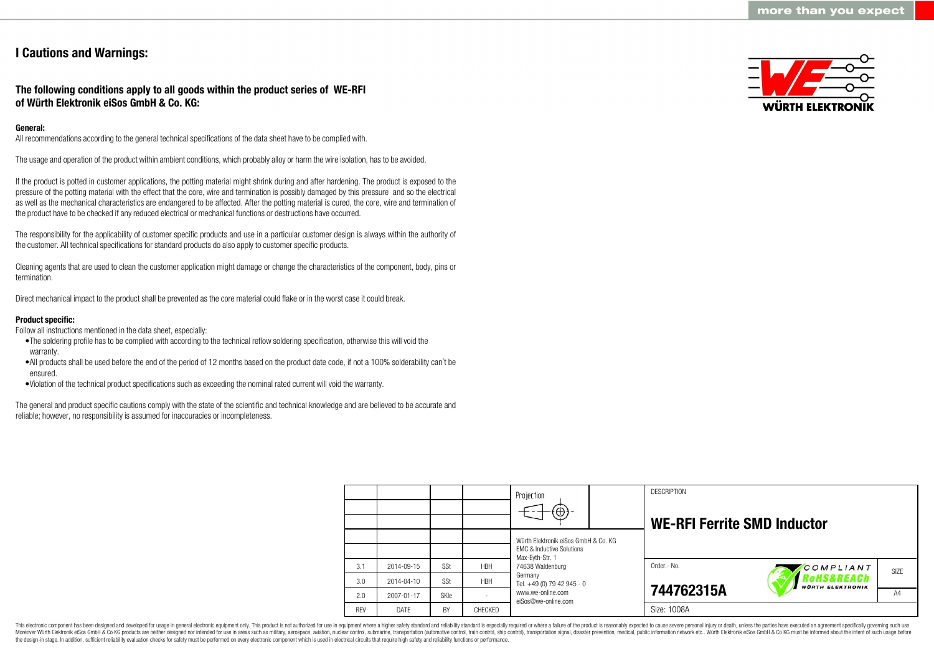# **I Cautions and Warnings:**

**The following conditions apply to all goods within the product series of WE-RFI of Würth Elektronik eiSos GmbH & Co. KG:**

#### **General:**

All recommendations according to the general technical specifications of the data sheet have to be complied with.

The usage and operation of the product within ambient conditions, which probably alloy or harm the wire isolation, has to be avoided.

If the product is potted in customer applications, the potting material might shrink during and after hardening. The product is exposed to the pressure of the potting material with the effect that the core, wire and termination is possibly damaged by this pressure and so the electrical as well as the mechanical characteristics are endangered to be affected. After the potting material is cured, the core, wire and termination of the product have to be checked if any reduced electrical or mechanical functions or destructions have occurred.

The responsibility for the applicability of customer specific products and use in a particular customer design is always within the authority of the customer. All technical specifications for standard products do also apply to customer specific products.

Cleaning agents that are used to clean the customer application might damage or change the characteristics of the component, body, pins or termination.

Direct mechanical impact to the product shall be prevented as the core material could flake or in the worst case it could break.

#### **Product specific:**

Follow all instructions mentioned in the data sheet, especially:

- •The soldering profile has to be complied with according to the technical reflow soldering specification, otherwise this will void the warranty.
- •All products shall be used before the end of the period of 12 months based on the product date code, if not a 100% solderability can´t be ensured.
- •Violation of the technical product specifications such as exceeding the nominal rated current will void the warranty.

The general and product specific cautions comply with the state of the scientific and technical knowledge and are believed to be accurate and reliable; however, no responsibility is assumed for inaccuracies or incompleteness.



|            |                  |             |            | Projection<br>$\textcircled{\scriptsize{+}}$                                 |  | <b>DESCRIPTION</b><br><b>WE-RFI Ferrite SMD Inductor</b> |                                      |      |
|------------|------------------|-------------|------------|------------------------------------------------------------------------------|--|----------------------------------------------------------|--------------------------------------|------|
|            |                  |             |            | Würth Elektronik eiSos GmbH & Co. KG<br><b>EMC &amp; Inductive Solutions</b> |  |                                                          |                                      |      |
| 3.1        | 2014-09-15       | SSt         | <b>HBH</b> | Max-Evth-Str. 1<br>74638 Waldenburg                                          |  | Order.- No.                                              | COMPLIANT                            | SIZE |
| 3.0        | $2014 - 04 - 10$ | SSt         | <b>HBH</b> | Germany<br>Tel. +49 (0) 79 42 945 - 0                                        |  |                                                          | oHS&REACh<br><b>WÜRTH ELEKTRONIK</b> |      |
| 2.0        | 2007-01-17       | <b>SKIe</b> |            | www.we-online.com<br>eiSos@we-online.com                                     |  | 744762315A                                               |                                      |      |
| <b>REV</b> | DATE             | BY          | CHECKED    |                                                                              |  | Size: 1008A                                              |                                      |      |

This electronic component has been designed and developed for usage in general electronic equipment only. This product is not authorized for use in equipment where a higher safety standard and reliability standard is espec Moreover Würth Elektronik eiSos GmbH & Co KG products are neither designed nor intended for use in areas such as military, aerospace, aviation, nuclear control, submarine, transportation (automotive control), tain control) the design-in stage. In addition, sufficient reliability evaluation checks for safety must be performed on every electronic component which is used in electrical circuits that require high safety and reliability functions